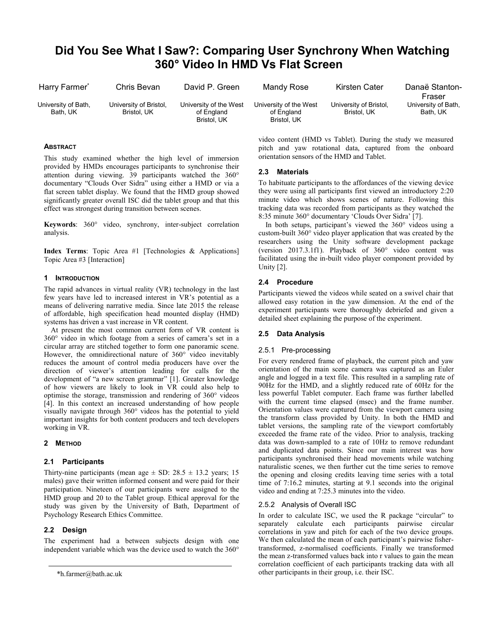# **Did You See What I Saw?: Comparing User Synchrony When Watching 360° Video In HMD Vs Flat Screen**

| Harry Farmer <sup>*</sup>       | Chris Bevan                           | David P. Green                                      | Mandy Rose                                          | Kirsten Cater                         | Danaë Stanton-<br>Fraser        |
|---------------------------------|---------------------------------------|-----------------------------------------------------|-----------------------------------------------------|---------------------------------------|---------------------------------|
| University of Bath,<br>Bath. UK | University of Bristol,<br>Bristol. UK | University of the West<br>of England<br>Bristol. UK | University of the West<br>of England<br>Bristol. UK | University of Bristol,<br>Bristol. UK | University of Bath,<br>Bath, UK |

#### **ABSTRACT**

This study examined whether the high level of immersion provided by HMDs encourages participants to synchronise their attention during viewing. 39 participants watched the 360° documentary "Clouds Over Sidra" using either a HMD or via a flat screen tablet display. We found that the HMD group showed significantly greater overall ISC did the tablet group and that this effect was strongest during transition between scenes.

**Keywords**: 360° video, synchrony, inter-subject correlation analysis.

**Index Terms**: Topic Area #1 [Technologies & Applications] Topic Area #3 [Interaction]

#### **1 INTRODUCTION**

The rapid advances in virtual reality (VR) technology in the last few years have led to increased interest in VR's potential as a means of delivering narrative media. Since late 2015 the release of affordable, high specification head mounted display (HMD) systems has driven a vast increase in VR content.

At present the most common current form of VR content is 360° video in which footage from a series of camera's set in a circular array are stitched together to form one panoramic scene. However, the omnidirectional nature of 360° video inevitably reduces the amount of control media producers have over the direction of viewer's attention leading for calls for the development of "a new screen grammar" [1]. Greater knowledge of how viewers are likely to look in VR could also help to optimise the storage, transmission and rendering of 360° videos [4]. In this context an increased understanding of how people visually navigate through 360° videos has the potential to yield important insights for both content producers and tech developers working in VR.

# **2 METHOD**

# **2.1 Participants**

Thirty-nine participants (mean age  $\pm$  SD: 28.5  $\pm$  13.2 years; 15 males) gave their written informed consent and were paid for their participation. Nineteen of our participants were assigned to the HMD group and 20 to the Tablet group. Ethical approval for the study was given by the University of Bath, Department of Psychology Research Ethics Committee.

# **2.2 Design**

The experiment had a between subjects design with one independent variable which was the device used to watch the 360° video content (HMD vs Tablet). During the study we measured pitch and yaw rotational data, captured from the onboard orientation sensors of the HMD and Tablet.

# **2.3 Materials**

To habituate participants to the affordances of the viewing device they were using all participants first viewed an introductory 2:20 minute video which shows scenes of nature. Following this tracking data was recorded from participants as they watched the 8:35 minute 360° documentary 'Clouds Over Sidra' [7].

In both setups, participant's viewed the 360° videos using a custom-built 360° video player application that was created by the researchers using the Unity software development package (version 2017.3.1f1). Playback of 360° video content was facilitated using the in-built video player component provided by Unity [2].

# **2.4 Procedure**

Participants viewed the videos while seated on a swivel chair that allowed easy rotation in the yaw dimension. At the end of the experiment participants were thoroughly debriefed and given a detailed sheet explaining the purpose of the experiment.

# **2.5 Data Analysis**

# 2.5.1 Pre-processing

For every rendered frame of playback, the current pitch and yaw orientation of the main scene camera was captured as an Euler angle and logged in a text file. This resulted in a sampling rate of 90Hz for the HMD, and a slightly reduced rate of 60Hz for the less powerful Tablet computer. Each frame was further labelled with the current time elapsed (msec) and the frame number. Orientation values were captured from the viewport camera using the transform class provided by Unity. In both the HMD and tablet versions, the sampling rate of the viewport comfortably exceeded the frame rate of the video. Prior to analysis, tracking data was down-sampled to a rate of 10Hz to remove redundant and duplicated data points. Since our main interest was how participants synchronised their head movements while watching naturalistic scenes, we then further cut the time series to remove the opening and closing credits leaving time series with a total time of 7:16.2 minutes, starting at 9.1 seconds into the original video and ending at 7:25.3 minutes into the video.

# 2.5.2 Analysis of Overall ISC

In order to calculate ISC, we used the R package "circular" to separately calculate each participants pairwise circular correlations in yaw and pitch for each of the two device groups. We then calculated the mean of each participant's pairwise fishertransformed, z-normalised coefficients. Finally we transformed the mean z-transformed values back into r values to gain the mean correlation coefficient of each participants tracking data with all \*h.farmer@bath.ac.uk other participants in their group, i.e. their ISC.